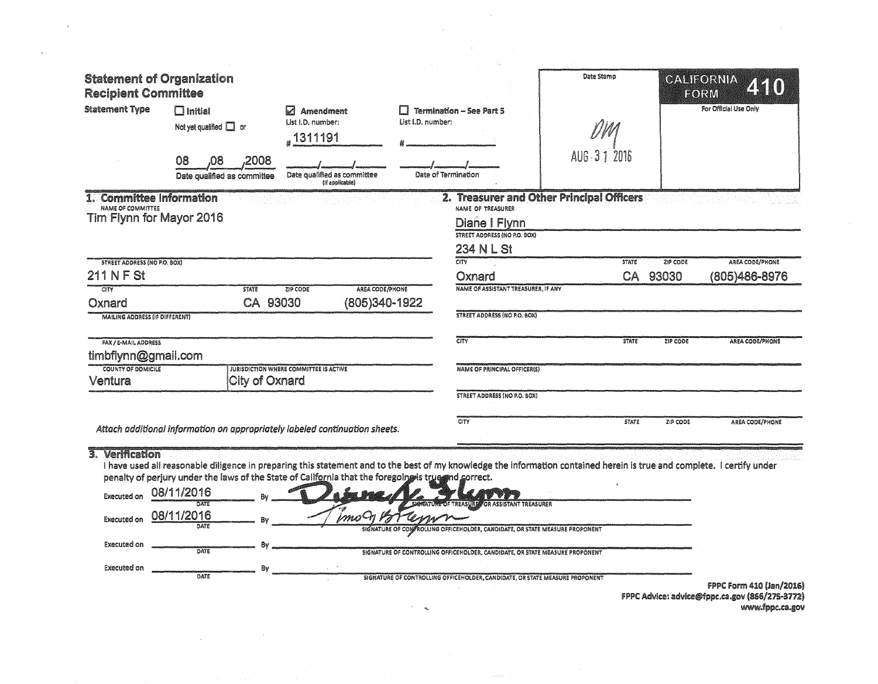| $\Box$ Initial<br>Not yet qualified $\Box$ or<br>08<br>2008<br>.08 | Ы<br><b>Amendment</b><br>List I.D. number:<br>.1311191                                                                                                                                                                                                                                   | List I.D. number:                                                    |                                                                                                                                                | Date Stamp<br>AUG-31 2016                                                                                                                                                                                                                                                                                                                                                                                |                                                                                                                                                                                                                                                                  | CALIFORNIA<br><b>HORM</b><br>For Official Use Only                                                                                                                                                                         |
|--------------------------------------------------------------------|------------------------------------------------------------------------------------------------------------------------------------------------------------------------------------------------------------------------------------------------------------------------------------------|----------------------------------------------------------------------|------------------------------------------------------------------------------------------------------------------------------------------------|----------------------------------------------------------------------------------------------------------------------------------------------------------------------------------------------------------------------------------------------------------------------------------------------------------------------------------------------------------------------------------------------------------|------------------------------------------------------------------------------------------------------------------------------------------------------------------------------------------------------------------------------------------------------------------|----------------------------------------------------------------------------------------------------------------------------------------------------------------------------------------------------------------------------|
|                                                                    | (If applicable)                                                                                                                                                                                                                                                                          |                                                                      |                                                                                                                                                |                                                                                                                                                                                                                                                                                                                                                                                                          |                                                                                                                                                                                                                                                                  |                                                                                                                                                                                                                            |
| <b>STATE</b>                                                       | <b>ZIP CODE</b>                                                                                                                                                                                                                                                                          |                                                                      |                                                                                                                                                | <b>STATE</b>                                                                                                                                                                                                                                                                                                                                                                                             | ZIP CODE<br>93030                                                                                                                                                                                                                                                | AREA CODE/PHONE<br>(805)486-8976                                                                                                                                                                                           |
|                                                                    |                                                                                                                                                                                                                                                                                          |                                                                      |                                                                                                                                                | <b>STATE</b>                                                                                                                                                                                                                                                                                                                                                                                             | ZIP CODE                                                                                                                                                                                                                                                         | AREA CODE/PHONE                                                                                                                                                                                                            |
|                                                                    |                                                                                                                                                                                                                                                                                          |                                                                      |                                                                                                                                                | <b>STATE</b>                                                                                                                                                                                                                                                                                                                                                                                             | ZIP CODE                                                                                                                                                                                                                                                         | AREA CODE/PHONE                                                                                                                                                                                                            |
| DATE<br>DATE<br>Bv<br>DATE                                         | imo-n                                                                                                                                                                                                                                                                                    |                                                                      |                                                                                                                                                |                                                                                                                                                                                                                                                                                                                                                                                                          |                                                                                                                                                                                                                                                                  |                                                                                                                                                                                                                            |
| COUNTY OF DOMICILE                                                 | <b>Statement of Organization</b><br><b>Recipient Committee</b><br>Date qualified as committee<br>1. Committee Information<br>Tim Flynn for Mayor 2016<br><b>STREET ADDRESS (NO P.O. BOX)</b><br><b>MAILING ADDRESS (IF DIFFERENT)</b><br>timbflynn@gmail.com<br>08/11/2016<br>08/11/2016 | CA 93030<br>JURISDICTION WHERE COMMITTEE IS ACTIVE<br>City of Oxnard | Date qualified as committee<br>AREA CODE/PHONE<br>(805)340-1922<br>Attach additional information on appropriately labeled continuation sheets. | <b>Termination - See Part 5</b><br>Date of Termination<br>NAME OF TREASURER<br>Diane I Flynn<br>STREET ADDRESS (NO P.O. BOX)<br>234 N L St<br>CITY<br>Oxnard<br><b>STREET ADDRESS (NO P.O. BOX)</b><br>CITY<br><b>NAME OF PRINCIPAL OFFICER(S)</b><br><b>STREET ADDRESS (NO P.O. BOX)</b><br>CITY<br>penalty of perjury under the laws of the State of California that the foregoing is true md correct. | NAME OF ASSISTANT TREASURER, IF ANY<br><b>MONATURE OF TREASURE, OR ASSISTANT TREASURER</b><br>SIGNATURE OF CONFROLLING OFFICEHOLDER, CANDIDATE, OR STATE MEASURE PROPONENT<br>SIGNATURE OF CONTROLLING OFFICEHOLDER, CANDIDATE, OR STATE MEASURE PROPONENT<br>Bv | 2. Treasurer and Other Principal Officers<br>CA<br>I have used all reasonable diligence in preparing this statement and to the best of my knowledge the information contained herein is true and complete. I certify under |

 $\mathcal{L}^{\text{max}}$ 

 $\mathcal{L}_{\text{max}}$  .

 $\sim 100$ 

 $\sim$   $_{\star}$  .

 $\sim$   $\sim$ 

 $\gamma$ 

FPPC Form 410 (Jan/2016)<br>FPPC Advice: advice@fppc.ca.gov (866/275-3772)<br>www.fppc.ca.gov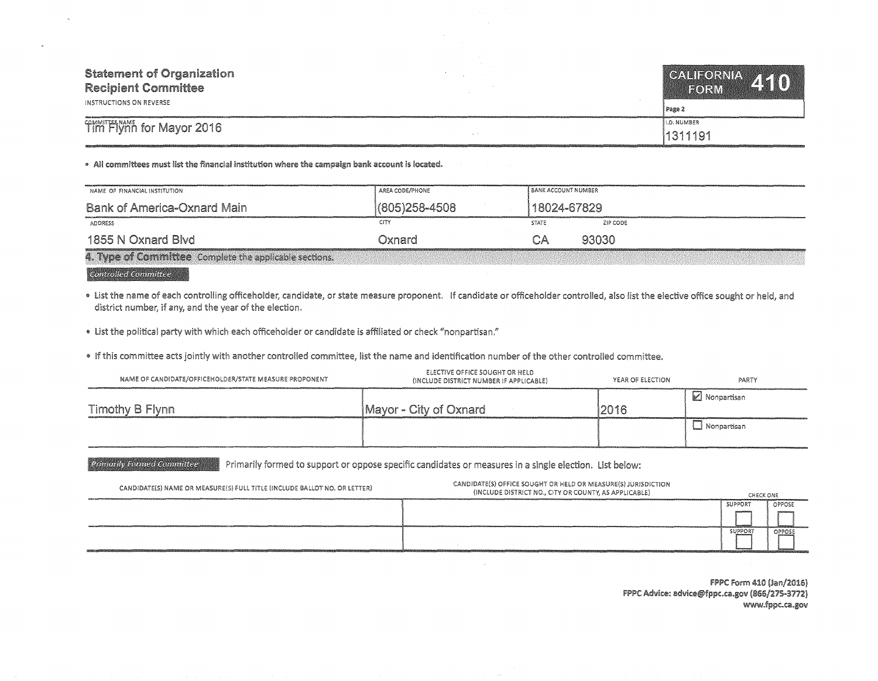| <b>Statement of Organization</b><br><b>Recipient Committee</b><br>INSTRUCTIONS ON REVERSE | CALIFORNIA 110<br>FORM<br>Page 2 |
|-------------------------------------------------------------------------------------------|----------------------------------|
| Tim Flynn for Mayor 2016                                                                  | I.D. NUMBER                      |
|                                                                                           | 1311191                          |

• All committees must list the financial institution where the campaign bank account is located.

| NAME OF FINANCIAL INSTITUTION                          | AREA CODE/PHONE | i bank account number |          |
|--------------------------------------------------------|-----------------|-----------------------|----------|
| <b>Bank of America-Oxnard Main</b>                     | (805) 258-4508  | 18024-67829           |          |
| ADDRESS                                                | CITY            | <b>STATE</b>          | ZIP CODE |
| 1855 N Oxnard Blvd                                     | Oxnard          | CA                    | 93030    |
| 4. Type of Committee Complete the applicable sections. |                 |                       |          |

**Controlled Committee** 

. List the name of each controlling officeholder, candidate, or state measure proponent. If candidate or officeholder controlled, also list the elective office sought or held, and district number, if any, and the year of the election.

• List the political party with which each officeholder or candidate is affiliated or check "nonpartisan."

e If this committee acts with another controlled committee, list the name and identification number of the other controlled committee.

| NAME OF CANDIDATE/OFFICEHOLDER/STATE MEASURE PROPONENT | ELECTIVE OFFICE SOUGHT OR HELD<br>(INCLUDE DISTRICT NUMBER IF APPLICABLE) | YEAR OF ELECTION | PARTY       |
|--------------------------------------------------------|---------------------------------------------------------------------------|------------------|-------------|
| Timothy B Flynn                                        | Mayor - City of Oxnard                                                    | 2016             | Monpartisan |
|                                                        |                                                                           |                  | Nonpartisan |

Primarily formed to support or oppose specific candidates or measures in a single election. List below: **Primarily Formed Committee** 

| CANDIDATE(S) NAME OR MEASURE(S) FULL TITLE (INCLUDE BALLOT NO. OR LETTER) | CANDIDATE(S) OFFICE SOUGHT OR HELD OR MEASURE(S) JURISDICTION<br>(INCLUDE DISTRICT NO., CITY OR COUNTY, AS APPLICABLE) | CHECK ONE      |        |
|---------------------------------------------------------------------------|------------------------------------------------------------------------------------------------------------------------|----------------|--------|
|                                                                           |                                                                                                                        | SUPPORT        | OPPOSE |
|                                                                           |                                                                                                                        | <b>SUPPORT</b> | OPPOSE |
|                                                                           |                                                                                                                        |                |        |

FPPC Form 410 (Jan/2016) FPPC Advice: advice@fppc.ca.gov (866/275-3772)<br>www.fppc.ca.gov